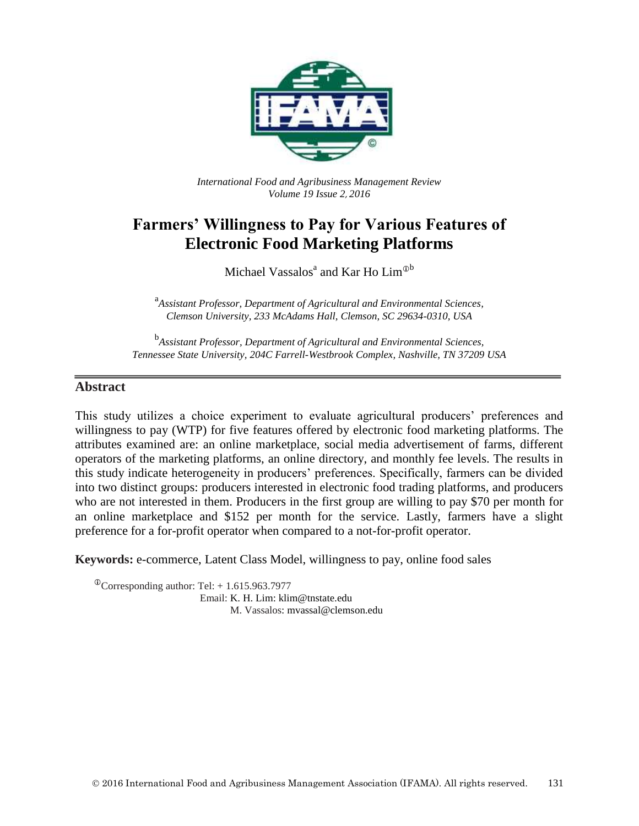

*International Food and Agribusiness Management Review Volume 19 Issue 2*, *2016*

# **Farmers' Willingness to Pay for Various Features of Electronic Food Marketing Platforms**

Michael Vassalos<sup>a</sup> and Kar Ho Lim<sup>®b</sup>

a *Assistant Professor, Department of Agricultural and Environmental Sciences, Clemson University, 233 McAdams Hall, Clemson, SC 29634-0310, USA*

b *Assistant Professor, Department of Agricultural and Environmental Sciences, Tennessee State University, 204C Farrell-Westbrook Complex, Nashville, TN 37209 USA*

## **Abstract**

This study utilizes a choice experiment to evaluate agricultural producers' preferences and willingness to pay (WTP) for five features offered by electronic food marketing platforms. The attributes examined are: an online marketplace, social media advertisement of farms, different operators of the marketing platforms, an online directory, and monthly fee levels. The results in this study indicate heterogeneity in producers' preferences. Specifically, farmers can be divided into two distinct groups: producers interested in electronic food trading platforms, and producers who are not interested in them. Producers in the first group are willing to pay \$70 per month for an online marketplace and \$152 per month for the service. Lastly, farmers have a slight preference for a for-profit operator when compared to a not-for-profit operator.

**Keywords:** e-commerce, Latent Class Model, willingness to pay, online food sales

 $^{\circ}$ Corresponding author: Tel: + 1.615.963.7977 Email: K. H. Lim: klim@tnstate.edu M. Vassalos: mvassal@clemson.edu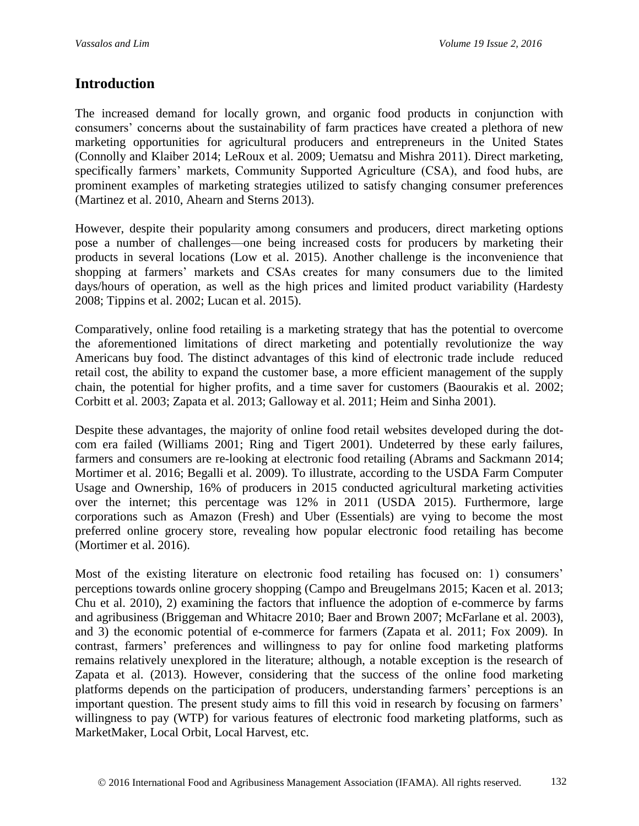## **Introduction**

The increased demand for locally grown, and organic food products in conjunction with consumers' concerns about the sustainability of farm practices have created a plethora of new marketing opportunities for agricultural producers and entrepreneurs in the United States (Connolly and Klaiber 2014; LeRoux et al. 2009; Uematsu and Mishra 2011). Direct marketing, specifically farmers' markets, Community Supported Agriculture (CSA), and food hubs, are prominent examples of marketing strategies utilized to satisfy changing consumer preferences (Martinez et al. 2010, Ahearn and Sterns 2013).

However, despite their popularity among consumers and producers, direct marketing options pose a number of challenges—one being increased costs for producers by marketing their products in several locations (Low et al. 2015). Another challenge is the inconvenience that shopping at farmers' markets and CSAs creates for many consumers due to the limited days/hours of operation, as well as the high prices and limited product variability (Hardesty 2008; Tippins et al. 2002; Lucan et al. 2015).

Comparatively, online food retailing is a marketing strategy that has the potential to overcome the aforementioned limitations of direct marketing and potentially revolutionize the way Americans buy food. The distinct advantages of this kind of electronic trade include reduced retail cost, the ability to expand the customer base, a more efficient management of the supply chain, the potential for higher profits, and a time saver for customers (Baourakis et al. 2002; Corbitt et al. 2003; Zapata et al. 2013; Galloway et al. 2011; Heim and Sinha 2001).

Despite these advantages, the majority of online food retail websites developed during the dotcom era failed (Williams 2001; Ring and Tigert 2001). Undeterred by these early failures, farmers and consumers are re-looking at electronic food retailing (Abrams and Sackmann 2014; Mortimer et al. 2016; Begalli et al. 2009). To illustrate, according to the USDA Farm Computer Usage and Ownership, 16% of producers in 2015 conducted agricultural marketing activities over the internet; this percentage was 12% in 2011 (USDA 2015). Furthermore, large corporations such as Amazon (Fresh) and Uber (Essentials) are vying to become the most preferred online grocery store, revealing how popular electronic food retailing has become (Mortimer et al. 2016).

Most of the existing literature on electronic food retailing has focused on: 1) consumers' perceptions towards online grocery shopping (Campo and Breugelmans 2015; Kacen et al. 2013; Chu et al. 2010), 2) examining the factors that influence the adoption of e-commerce by farms and agribusiness (Briggeman and Whitacre 2010; Baer and Brown 2007; McFarlane et al. 2003), and 3) the economic potential of e-commerce for farmers (Zapata et al. 2011; Fox 2009). In contrast, farmers' preferences and willingness to pay for online food marketing platforms remains relatively unexplored in the literature; although, a notable exception is the research of Zapata et al. (2013). However, considering that the success of the online food marketing platforms depends on the participation of producers, understanding farmers' perceptions is an important question. The present study aims to fill this void in research by focusing on farmers' willingness to pay (WTP) for various features of electronic food marketing platforms, such as MarketMaker, Local Orbit, Local Harvest, etc.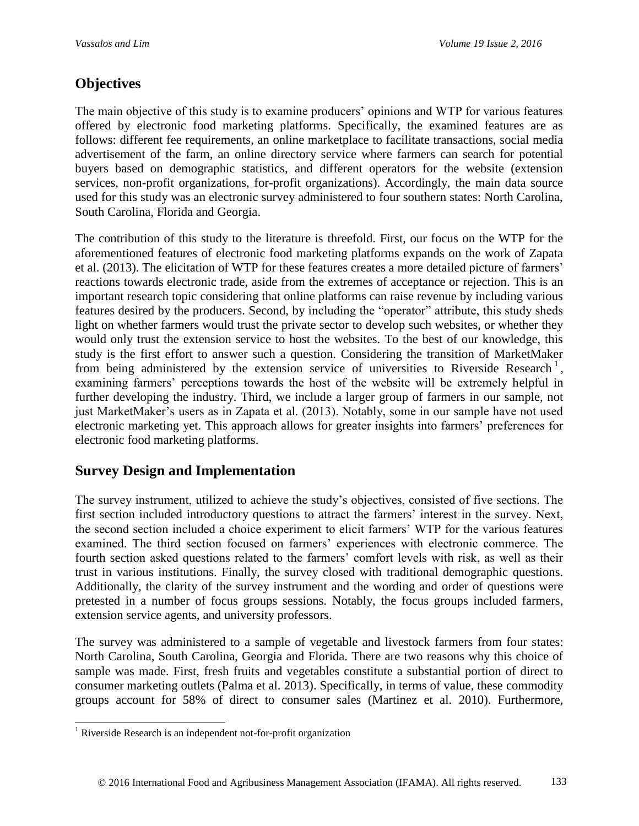# **Objectives**

The main objective of this study is to examine producers' opinions and WTP for various features offered by electronic food marketing platforms. Specifically, the examined features are as follows: different fee requirements, an online marketplace to facilitate transactions, social media advertisement of the farm, an online directory service where farmers can search for potential buyers based on demographic statistics, and different operators for the website (extension services, non-profit organizations, for-profit organizations). Accordingly, the main data source used for this study was an electronic survey administered to four southern states: North Carolina, South Carolina, Florida and Georgia.

The contribution of this study to the literature is threefold. First, our focus on the WTP for the aforementioned features of electronic food marketing platforms expands on the work of Zapata et al. (2013). The elicitation of WTP for these features creates a more detailed picture of farmers' reactions towards electronic trade, aside from the extremes of acceptance or rejection. This is an important research topic considering that online platforms can raise revenue by including various features desired by the producers. Second, by including the "operator" attribute, this study sheds light on whether farmers would trust the private sector to develop such websites, or whether they would only trust the extension service to host the websites. To the best of our knowledge, this study is the first effort to answer such a question. Considering the transition of MarketMaker from being administered by the extension service of universities to Riverside Research<sup>1</sup>, examining farmers' perceptions towards the host of the website will be extremely helpful in further developing the industry. Third, we include a larger group of farmers in our sample, not just MarketMaker's users as in Zapata et al. (2013). Notably, some in our sample have not used electronic marketing yet. This approach allows for greater insights into farmers' preferences for electronic food marketing platforms.

## **Survey Design and Implementation**

The survey instrument, utilized to achieve the study's objectives, consisted of five sections. The first section included introductory questions to attract the farmers' interest in the survey. Next, the second section included a choice experiment to elicit farmers' WTP for the various features examined. The third section focused on farmers' experiences with electronic commerce. The fourth section asked questions related to the farmers' comfort levels with risk, as well as their trust in various institutions. Finally, the survey closed with traditional demographic questions. Additionally, the clarity of the survey instrument and the wording and order of questions were pretested in a number of focus groups sessions. Notably, the focus groups included farmers, extension service agents, and university professors.

The survey was administered to a sample of vegetable and livestock farmers from four states: North Carolina, South Carolina, Georgia and Florida. There are two reasons why this choice of sample was made. First, fresh fruits and vegetables constitute a substantial portion of direct to consumer marketing outlets (Palma et al. 2013). Specifically, in terms of value, these commodity groups account for 58% of direct to consumer sales (Martinez et al. 2010). Furthermore,

 $\overline{a}$  $<sup>1</sup>$  Riverside Research is an independent not-for-profit organization</sup>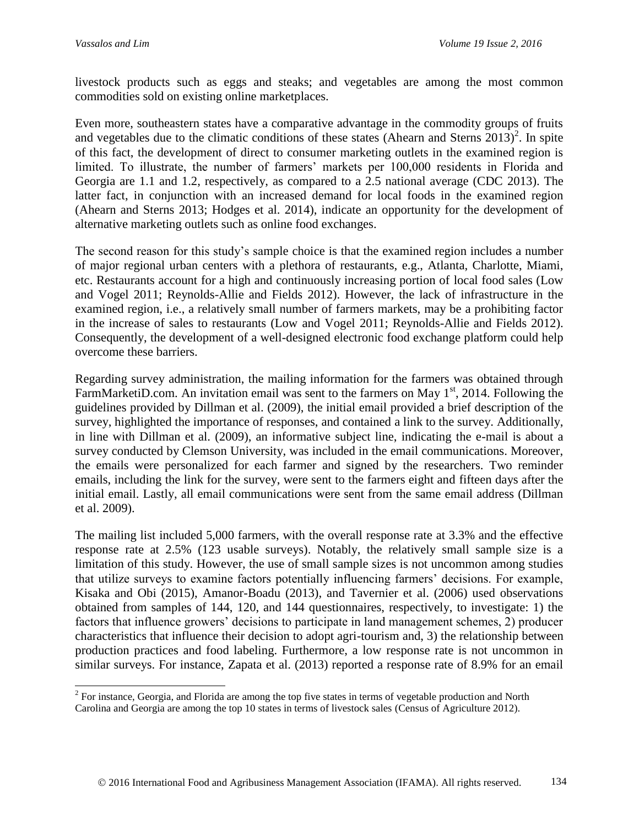$\overline{a}$ 

livestock products such as eggs and steaks; and vegetables are among the most common commodities sold on existing online marketplaces.

Even more, southeastern states have a comparative advantage in the commodity groups of fruits and vegetables due to the climatic conditions of these states (Ahearn and Sterns  $2013$ )<sup>2</sup>. In spite of this fact, the development of direct to consumer marketing outlets in the examined region is limited. To illustrate, the number of farmers' markets per 100,000 residents in Florida and Georgia are 1.1 and 1.2, respectively, as compared to a 2.5 national average (CDC 2013). The latter fact, in conjunction with an increased demand for local foods in the examined region (Ahearn and Sterns 2013; Hodges et al. 2014), indicate an opportunity for the development of alternative marketing outlets such as online food exchanges.

The second reason for this study's sample choice is that the examined region includes a number of major regional urban centers with a plethora of restaurants, e.g., Atlanta, Charlotte, Miami, etc. Restaurants account for a high and continuously increasing portion of local food sales (Low and Vogel 2011; Reynolds-Allie and Fields 2012). However, the lack of infrastructure in the examined region, i.e., a relatively small number of farmers markets, may be a prohibiting factor in the increase of sales to restaurants (Low and Vogel 2011; Reynolds-Allie and Fields 2012). Consequently, the development of a well-designed electronic food exchange platform could help overcome these barriers.

Regarding survey administration, the mailing information for the farmers was obtained through FarmMarketiD.com. An invitation email was sent to the farmers on May  $1<sup>st</sup>$ , 2014. Following the guidelines provided by Dillman et al. (2009), the initial email provided a brief description of the survey, highlighted the importance of responses, and contained a link to the survey. Additionally, in line with Dillman et al. (2009), an informative subject line, indicating the e-mail is about a survey conducted by Clemson University, was included in the email communications. Moreover, the emails were personalized for each farmer and signed by the researchers. Two reminder emails, including the link for the survey, were sent to the farmers eight and fifteen days after the initial email. Lastly, all email communications were sent from the same email address (Dillman et al. 2009).

The mailing list included 5,000 farmers, with the overall response rate at 3.3% and the effective response rate at 2.5% (123 usable surveys). Notably, the relatively small sample size is a limitation of this study. However, the use of small sample sizes is not uncommon among studies that utilize surveys to examine factors potentially influencing farmers' decisions. For example, Kisaka and Obi (2015), Amanor-Boadu (2013), and Tavernier et al. (2006) used observations obtained from samples of 144, 120, and 144 questionnaires, respectively, to investigate: 1) the factors that influence growers' decisions to participate in land management schemes, 2) producer characteristics that influence their decision to adopt agri-tourism and, 3) the relationship between production practices and food labeling. Furthermore, a low response rate is not uncommon in similar surveys. For instance, Zapata et al. (2013) reported a response rate of 8.9% for an email

 $2^{2}$  For instance, Georgia, and Florida are among the top five states in terms of vegetable production and North Carolina and Georgia are among the top 10 states in terms of livestock sales (Census of Agriculture 2012).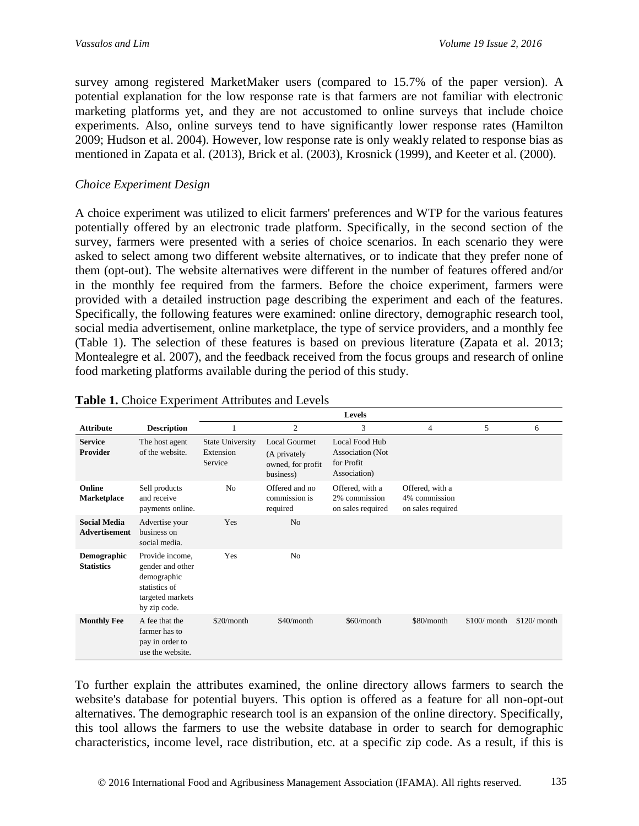survey among registered MarketMaker users (compared to 15.7% of the paper version). A potential explanation for the low response rate is that farmers are not familiar with electronic marketing platforms yet, and they are not accustomed to online surveys that include choice experiments. Also, online surveys tend to have significantly lower response rates (Hamilton 2009; Hudson et al. 2004). However, low response rate is only weakly related to response bias as mentioned in Zapata et al. (2013), Brick et al. (2003), Krosnick (1999), and Keeter et al. (2000).

### *Choice Experiment Design*

A choice experiment was utilized to elicit farmers' preferences and WTP for the various features potentially offered by an electronic trade platform. Specifically, in the second section of the survey, farmers were presented with a series of choice scenarios. In each scenario they were asked to select among two different website alternatives, or to indicate that they prefer none of them (opt-out). The website alternatives were different in the number of features offered and/or in the monthly fee required from the farmers. Before the choice experiment, farmers were provided with a detailed instruction page describing the experiment and each of the features. Specifically, the following features were examined: online directory, demographic research tool, social media advertisement, online marketplace, the type of service providers, and a monthly fee (Table 1). The selection of these features is based on previous literature (Zapata et al. 2013; Montealegre et al. 2007), and the feedback received from the focus groups and research of online food marketing platforms available during the period of this study.

|                                             |                                                                                                         |                                                 |                                                                        | <b>Levels</b>                                                    |                                                       |               |               |
|---------------------------------------------|---------------------------------------------------------------------------------------------------------|-------------------------------------------------|------------------------------------------------------------------------|------------------------------------------------------------------|-------------------------------------------------------|---------------|---------------|
| <b>Attribute</b>                            | <b>Description</b>                                                                                      |                                                 | $\mathfrak{2}$                                                         | 3                                                                | 4                                                     | 5             | 6             |
| <b>Service</b><br><b>Provider</b>           | The host agent<br>of the website.                                                                       | <b>State University</b><br>Extension<br>Service | <b>Local Gourmet</b><br>(A privately<br>owned, for profit<br>business) | Local Food Hub<br>Association (Not<br>for Profit<br>Association) |                                                       |               |               |
| Online<br><b>Marketplace</b>                | Sell products<br>and receive<br>payments online.                                                        | N <sub>0</sub>                                  | Offered and no<br>commission is<br>required                            | Offered, with a<br>2% commission<br>on sales required            | Offered, with a<br>4% commission<br>on sales required |               |               |
| <b>Social Media</b><br><b>Advertisement</b> | Advertise your<br>business on<br>social media.                                                          | Yes                                             | N <sub>o</sub>                                                         |                                                                  |                                                       |               |               |
| Demographic<br><b>Statistics</b>            | Provide income,<br>gender and other<br>demographic<br>statistics of<br>targeted markets<br>by zip code. | Yes                                             | N <sub>0</sub>                                                         |                                                                  |                                                       |               |               |
| <b>Monthly Fee</b>                          | A fee that the<br>farmer has to<br>pay in order to<br>use the website.                                  | \$20/month                                      | $$40/m$ onth                                                           | \$60/month                                                       | \$80/month                                            | $$100/$ month | $$120/$ month |

#### **Table 1.** Choice Experiment Attributes and Levels

To further explain the attributes examined, the online directory allows farmers to search the website's database for potential buyers. This option is offered as a feature for all non-opt-out alternatives. The demographic research tool is an expansion of the online directory. Specifically, this tool allows the farmers to use the website database in order to search for demographic characteristics, income level, race distribution, etc. at a specific zip code. As a result, if this is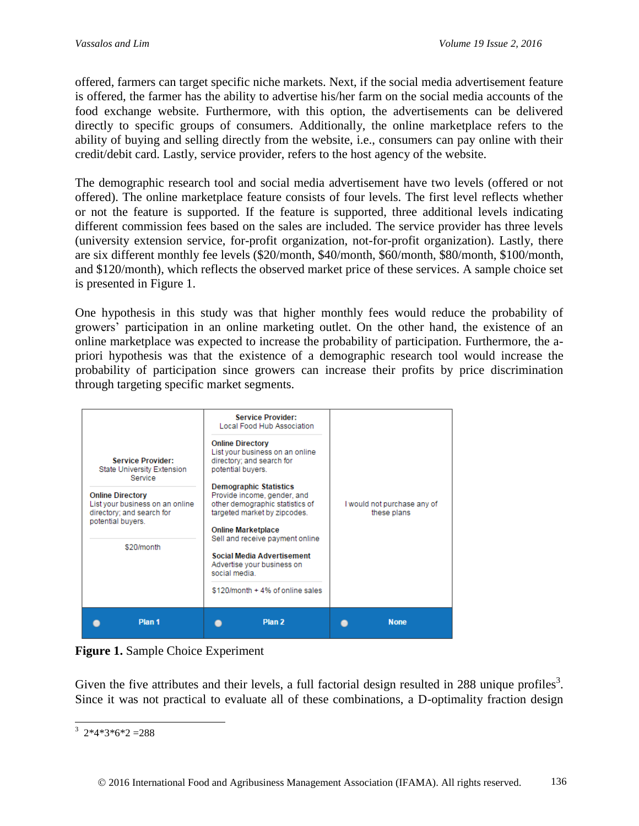offered, farmers can target specific niche markets. Next, if the social media advertisement feature is offered, the farmer has the ability to advertise his/her farm on the social media accounts of the food exchange website. Furthermore, with this option, the advertisements can be delivered directly to specific groups of consumers. Additionally, the online marketplace refers to the ability of buying and selling directly from the website, i.e., consumers can pay online with their credit/debit card. Lastly, service provider, refers to the host agency of the website.

The demographic research tool and social media advertisement have two levels (offered or not offered). The online marketplace feature consists of four levels. The first level reflects whether or not the feature is supported. If the feature is supported, three additional levels indicating different commission fees based on the sales are included. The service provider has three levels (university extension service, for-profit organization, not-for-profit organization). Lastly, there are six different monthly fee levels (\$20/month, \$40/month, \$60/month, \$80/month, \$100/month, and \$120/month), which reflects the observed market price of these services. A sample choice set is presented in Figure 1.

One hypothesis in this study was that higher monthly fees would reduce the probability of growers' participation in an online marketing outlet. On the other hand, the existence of an online marketplace was expected to increase the probability of participation. Furthermore, the apriori hypothesis was that the existence of a demographic research tool would increase the probability of participation since growers can increase their profits by price discrimination through targeting specific market segments.



**Figure 1.** Sample Choice Experiment

Given the five attributes and their levels, a full factorial design resulted in 288 unique profiles<sup>3</sup>. Since it was not practical to evaluate all of these combinations, a D-optimality fraction design

 $\frac{3}{2}$  2\*4\*3\*6\*2 =288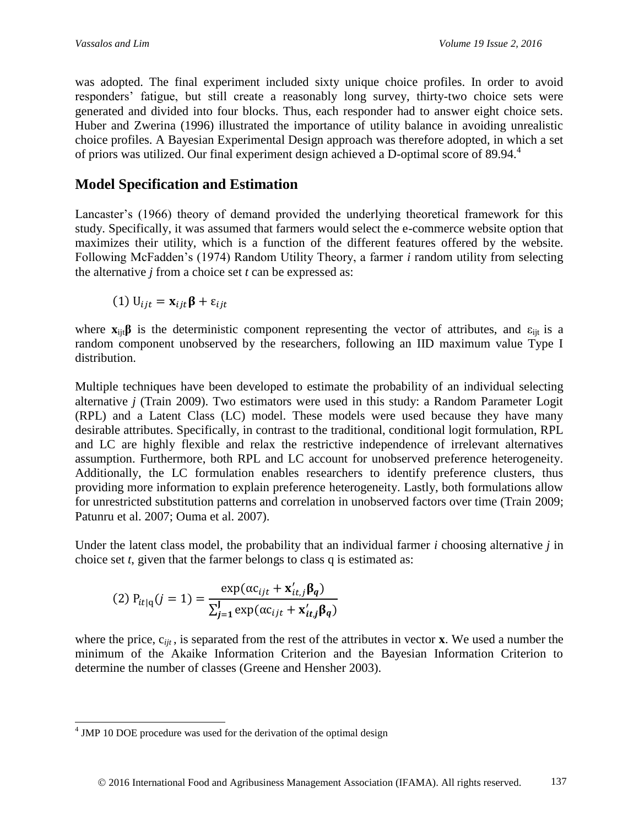was adopted. The final experiment included sixty unique choice profiles. In order to avoid responders' fatigue, but still create a reasonably long survey, thirty-two choice sets were generated and divided into four blocks. Thus, each responder had to answer eight choice sets. Huber and Zwerina (1996) illustrated the importance of utility balance in avoiding unrealistic choice profiles. A Bayesian Experimental Design approach was therefore adopted, in which a set of priors was utilized. Our final experiment design achieved a D-optimal score of 89.94. 4

# **Model Specification and Estimation**

Lancaster's (1966) theory of demand provided the underlying theoretical framework for this study. Specifically, it was assumed that farmers would select the e-commerce website option that maximizes their utility, which is a function of the different features offered by the website. Following McFadden's (1974) Random Utility Theory, a farmer *i* random utility from selecting the alternative *j* from a choice set *t* can be expressed as:

(1)  $U_{iit} = \mathbf{x}_{iit} \boldsymbol{\beta} + \varepsilon_{iit}$ 

where  $\mathbf{x}_{ii}$  $\beta$  is the deterministic component representing the vector of attributes, and  $\varepsilon_{ii}$  is a random component unobserved by the researchers, following an IID maximum value Type I distribution.

Multiple techniques have been developed to estimate the probability of an individual selecting alternative *j* (Train 2009). Two estimators were used in this study: a Random Parameter Logit (RPL) and a Latent Class (LC) model. These models were used because they have many desirable attributes. Specifically, in contrast to the traditional, conditional logit formulation, RPL and LC are highly flexible and relax the restrictive independence of irrelevant alternatives assumption. Furthermore, both RPL and LC account for unobserved preference heterogeneity. Additionally, the LC formulation enables researchers to identify preference clusters, thus providing more information to explain preference heterogeneity. Lastly, both formulations allow for unrestricted substitution patterns and correlation in unobserved factors over time (Train 2009; Patunru et al. 2007; Ouma et al. 2007).

Under the latent class model, the probability that an individual farmer *i* choosing alternative *j* in choice set *t*, given that the farmer belongs to class q is estimated as:

(2) 
$$
P_{it|q}(j=1) = \frac{\exp(\alpha c_{ijt} + \mathbf{x}'_{it,j} \beta_q)}{\sum_{j=1}^{J} \exp(\alpha c_{ijt} + \mathbf{x}'_{it,j} \beta_q)}
$$

where the price,  $c_{ijt}$ , is separated from the rest of the attributes in vector **x**. We used a number the minimum of the Akaike Information Criterion and the Bayesian Information Criterion to determine the number of classes (Greene and Hensher 2003).

<sup>&</sup>lt;sup>4</sup> JMP 10 DOE procedure was used for the derivation of the optimal design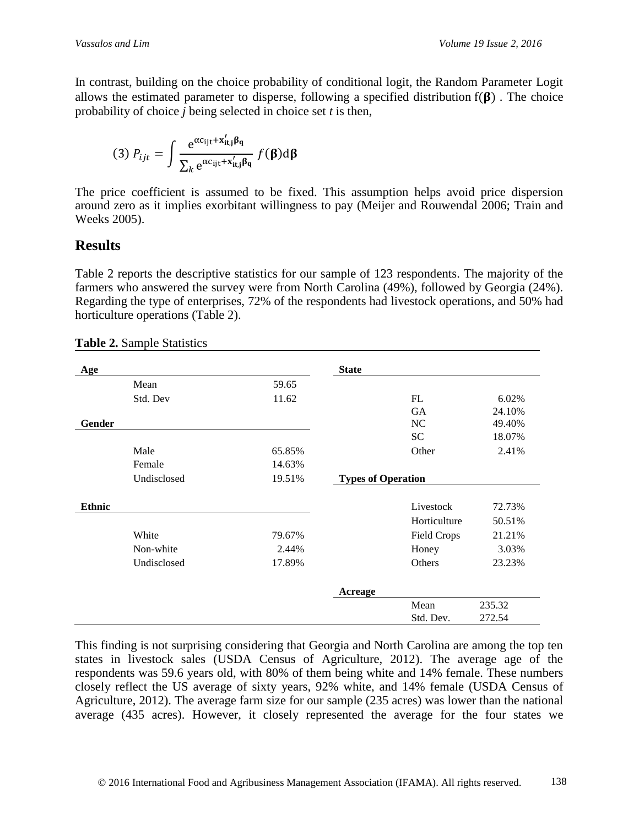In contrast, building on the choice probability of conditional logit, the Random Parameter Logit allows the estimated parameter to disperse, following a specified distribution  $f(\beta)$ . The choice probability of choice *j* being selected in choice set *t* is then,

(3) 
$$
P_{ijt} = \int \frac{e^{\alpha c_{ijt} + x'_{it,j}\beta_q}}{\sum_k e^{\alpha c_{ijt} + x'_{it,j}\beta_q}} f(\beta) d\beta
$$

The price coefficient is assumed to be fixed. This assumption helps avoid price dispersion around zero as it implies exorbitant willingness to pay (Meijer and Rouwendal 2006; Train and Weeks 2005).

# **Results**

Table 2 reports the descriptive statistics for our sample of 123 respondents. The majority of the farmers who answered the survey were from North Carolina (49%), followed by Georgia (24%). Regarding the type of enterprises, 72% of the respondents had livestock operations, and 50% had horticulture operations (Table 2).

| Age           |             |        | <b>State</b>              |                    |        |
|---------------|-------------|--------|---------------------------|--------------------|--------|
|               | Mean        | 59.65  |                           |                    |        |
|               | Std. Dev    | 11.62  |                           | FL                 | 6.02%  |
|               |             |        |                           | <b>GA</b>          | 24.10% |
| Gender        |             |        |                           | NC                 | 49.40% |
|               |             |        |                           | <b>SC</b>          | 18.07% |
|               | Male        | 65.85% |                           | Other              | 2.41%  |
|               | Female      | 14.63% |                           |                    |        |
|               | Undisclosed | 19.51% | <b>Types of Operation</b> |                    |        |
| <b>Ethnic</b> |             |        |                           | Livestock          | 72.73% |
|               |             |        |                           | Horticulture       | 50.51% |
|               | White       | 79.67% |                           | <b>Field Crops</b> | 21.21% |
|               | Non-white   | 2.44%  |                           | Honey              | 3.03%  |
|               | Undisclosed | 17.89% |                           | Others             | 23.23% |
|               |             |        | <b>Acreage</b>            |                    |        |
|               |             |        |                           | Mean               | 235.32 |
|               |             |        |                           | Std. Dev.          | 272.54 |

**Table 2.** Sample Statistics

This finding is not surprising considering that Georgia and North Carolina are among the top ten states in livestock sales (USDA Census of Agriculture, 2012). The average age of the respondents was 59.6 years old, with 80% of them being white and 14% female. These numbers closely reflect the US average of sixty years, 92% white, and 14% female (USDA Census of Agriculture, 2012). The average farm size for our sample (235 acres) was lower than the national average (435 acres). However, it closely represented the average for the four states we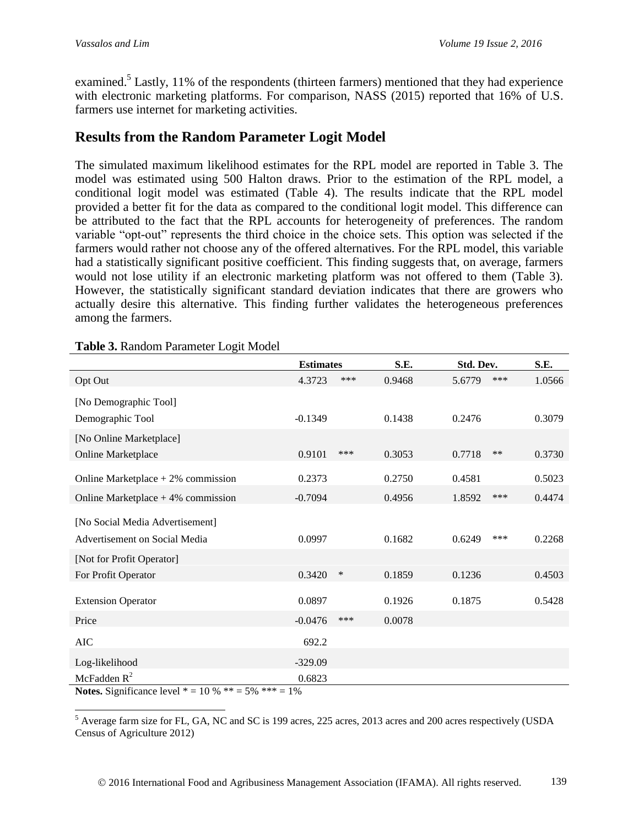examined.<sup>5</sup> Lastly, 11% of the respondents (thirteen farmers) mentioned that they had experience with electronic marketing platforms. For comparison, NASS (2015) reported that 16% of U.S. farmers use internet for marketing activities.

# **Results from the Random Parameter Logit Model**

The simulated maximum likelihood estimates for the RPL model are reported in Table 3. The model was estimated using 500 Halton draws. Prior to the estimation of the RPL model, a conditional logit model was estimated (Table 4). The results indicate that the RPL model provided a better fit for the data as compared to the conditional logit model. This difference can be attributed to the fact that the RPL accounts for heterogeneity of preferences. The random variable "opt-out" represents the third choice in the choice sets. This option was selected if the farmers would rather not choose any of the offered alternatives. For the RPL model, this variable had a statistically significant positive coefficient. This finding suggests that, on average, farmers would not lose utility if an electronic marketing platform was not offered to them (Table 3). However, the statistically significant standard deviation indicates that there are growers who actually desire this alternative. This finding further validates the heterogeneous preferences among the farmers.

|                                      | <b>Estimates</b> |     | S.E.   | Std. Dev. |       | S.E.   |
|--------------------------------------|------------------|-----|--------|-----------|-------|--------|
| Opt Out                              | 4.3723           | *** | 0.9468 | 5.6779    | ***   | 1.0566 |
| [No Demographic Tool]                |                  |     |        |           |       |        |
| Demographic Tool                     | $-0.1349$        |     | 0.1438 | 0.2476    |       | 0.3079 |
| [No Online Marketplace]              |                  |     |        |           |       |        |
| Online Marketplace                   | 0.9101           | *** | 0.3053 | 0.7718    | $***$ | 0.3730 |
| Online Marketplace $+2\%$ commission | 0.2373           |     | 0.2750 | 0.4581    |       | 0.5023 |
| Online Marketplace $+4\%$ commission | $-0.7094$        |     | 0.4956 | 1.8592    | ***   | 0.4474 |
| [No Social Media Advertisement]      |                  |     |        |           |       |        |
| Advertisement on Social Media        | 0.0997           |     | 0.1682 | 0.6249    | ***   | 0.2268 |
| [Not for Profit Operator]            |                  |     |        |           |       |        |
| For Profit Operator                  | 0.3420           | ∗   | 0.1859 | 0.1236    |       | 0.4503 |
| <b>Extension Operator</b>            | 0.0897           |     | 0.1926 | 0.1875    |       | 0.5428 |
| Price                                | $-0.0476$        | *** | 0.0078 |           |       |        |
| <b>AIC</b>                           | 692.2            |     |        |           |       |        |
| Log-likelihood                       | $-329.09$        |     |        |           |       |        |
| McFadden $R^2$                       | 0.6823           |     |        |           |       |        |

**Table 3.** Random Parameter Logit Model

**Notes.** Significance level  $* = 10 \% ** = 5\% ** = 1\%$ 

l

<sup>5</sup> Average farm size for FL, GA, NC and SC is 199 acres, 225 acres, 2013 acres and 200 acres respectively (USDA Census of Agriculture 2012)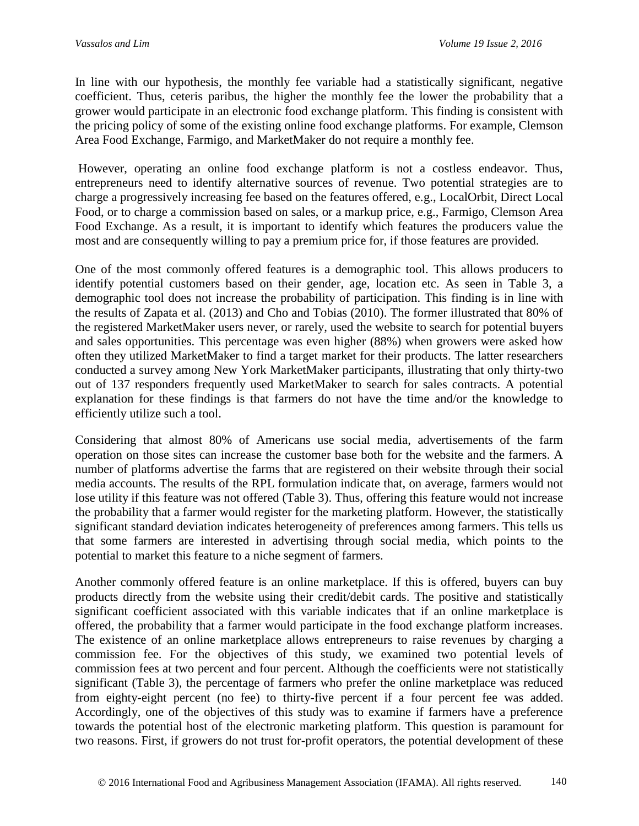In line with our hypothesis, the monthly fee variable had a statistically significant, negative coefficient. Thus, ceteris paribus, the higher the monthly fee the lower the probability that a grower would participate in an electronic food exchange platform. This finding is consistent with the pricing policy of some of the existing online food exchange platforms. For example, Clemson Area Food Exchange, Farmigo, and MarketMaker do not require a monthly fee.

However, operating an online food exchange platform is not a costless endeavor. Thus, entrepreneurs need to identify alternative sources of revenue. Two potential strategies are to charge a progressively increasing fee based on the features offered, e.g., LocalOrbit, Direct Local Food, or to charge a commission based on sales, or a markup price, e.g., Farmigo, Clemson Area Food Exchange. As a result, it is important to identify which features the producers value the most and are consequently willing to pay a premium price for, if those features are provided.

One of the most commonly offered features is a demographic tool. This allows producers to identify potential customers based on their gender, age, location etc. As seen in Table 3, a demographic tool does not increase the probability of participation. This finding is in line with the results of Zapata et al. (2013) and Cho and Tobias (2010). The former illustrated that 80% of the registered MarketMaker users never, or rarely, used the website to search for potential buyers and sales opportunities. This percentage was even higher (88%) when growers were asked how often they utilized MarketMaker to find a target market for their products. The latter researchers conducted a survey among New York MarketMaker participants, illustrating that only thirty-two out of 137 responders frequently used MarketMaker to search for sales contracts. A potential explanation for these findings is that farmers do not have the time and/or the knowledge to efficiently utilize such a tool.

Considering that almost 80% of Americans use social media, advertisements of the farm operation on those sites can increase the customer base both for the website and the farmers. A number of platforms advertise the farms that are registered on their website through their social media accounts. The results of the RPL formulation indicate that, on average, farmers would not lose utility if this feature was not offered (Table 3). Thus, offering this feature would not increase the probability that a farmer would register for the marketing platform. However, the statistically significant standard deviation indicates heterogeneity of preferences among farmers. This tells us that some farmers are interested in advertising through social media, which points to the potential to market this feature to a niche segment of farmers.

Another commonly offered feature is an online marketplace. If this is offered, buyers can buy products directly from the website using their credit/debit cards. The positive and statistically significant coefficient associated with this variable indicates that if an online marketplace is offered, the probability that a farmer would participate in the food exchange platform increases. The existence of an online marketplace allows entrepreneurs to raise revenues by charging a commission fee. For the objectives of this study, we examined two potential levels of commission fees at two percent and four percent. Although the coefficients were not statistically significant (Table 3), the percentage of farmers who prefer the online marketplace was reduced from eighty-eight percent (no fee) to thirty-five percent if a four percent fee was added. Accordingly, one of the objectives of this study was to examine if farmers have a preference towards the potential host of the electronic marketing platform. This question is paramount for two reasons. First, if growers do not trust for-profit operators, the potential development of these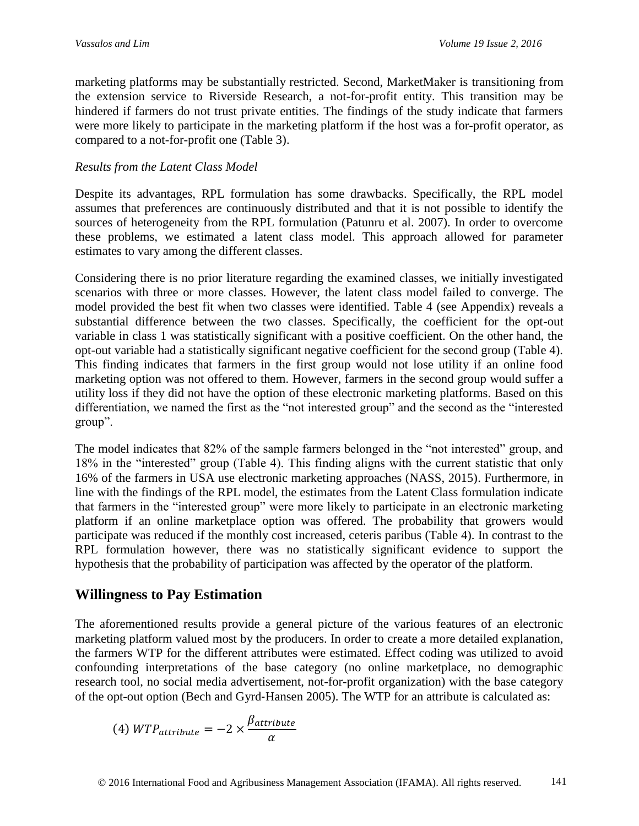marketing platforms may be substantially restricted. Second, MarketMaker is transitioning from the extension service to Riverside Research, a not-for-profit entity. This transition may be hindered if farmers do not trust private entities. The findings of the study indicate that farmers were more likely to participate in the marketing platform if the host was a for-profit operator, as compared to a not-for-profit one (Table 3).

## *Results from the Latent Class Model*

Despite its advantages, RPL formulation has some drawbacks. Specifically, the RPL model assumes that preferences are continuously distributed and that it is not possible to identify the sources of heterogeneity from the RPL formulation (Patunru et al. 2007). In order to overcome these problems, we estimated a latent class model. This approach allowed for parameter estimates to vary among the different classes.

Considering there is no prior literature regarding the examined classes, we initially investigated scenarios with three or more classes. However, the latent class model failed to converge. The model provided the best fit when two classes were identified. Table 4 (see Appendix) reveals a substantial difference between the two classes. Specifically, the coefficient for the opt-out variable in class 1 was statistically significant with a positive coefficient. On the other hand, the opt-out variable had a statistically significant negative coefficient for the second group (Table 4). This finding indicates that farmers in the first group would not lose utility if an online food marketing option was not offered to them. However, farmers in the second group would suffer a utility loss if they did not have the option of these electronic marketing platforms. Based on this differentiation, we named the first as the "not interested group" and the second as the "interested group".

The model indicates that 82% of the sample farmers belonged in the "not interested" group, and 18% in the "interested" group (Table 4). This finding aligns with the current statistic that only 16% of the farmers in USA use electronic marketing approaches (NASS, 2015). Furthermore, in line with the findings of the RPL model, the estimates from the Latent Class formulation indicate that farmers in the "interested group" were more likely to participate in an electronic marketing platform if an online marketplace option was offered. The probability that growers would participate was reduced if the monthly cost increased, ceteris paribus (Table 4). In contrast to the RPL formulation however, there was no statistically significant evidence to support the hypothesis that the probability of participation was affected by the operator of the platform.

# **Willingness to Pay Estimation**

The aforementioned results provide a general picture of the various features of an electronic marketing platform valued most by the producers. In order to create a more detailed explanation, the farmers WTP for the different attributes were estimated. Effect coding was utilized to avoid confounding interpretations of the base category (no online marketplace, no demographic research tool, no social media advertisement, not-for-profit organization) with the base category of the opt-out option (Bech and Gyrd‐Hansen 2005). The WTP for an attribute is calculated as:

$$
(4) WTP_{attribute} = -2 \times \frac{\beta_{attribute}}{\alpha}
$$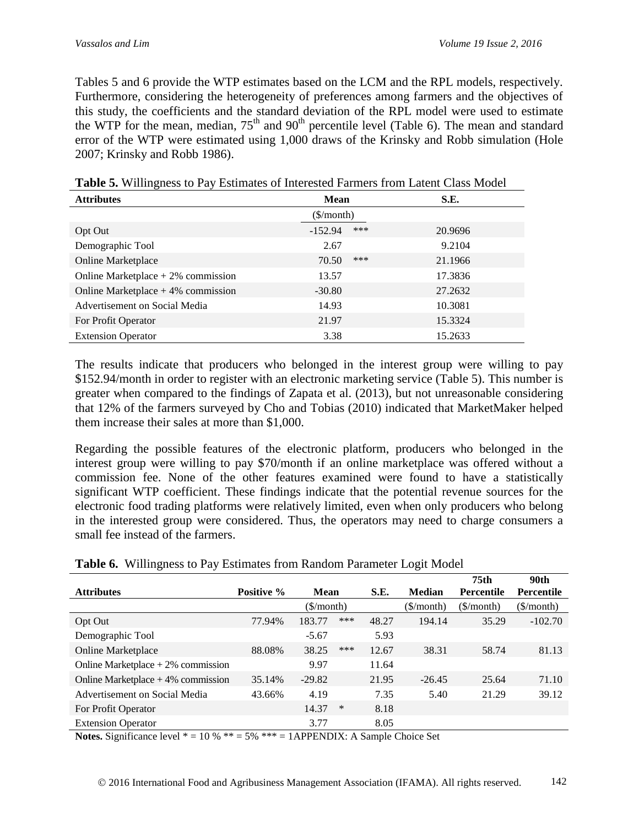Tables 5 and 6 provide the WTP estimates based on the LCM and the RPL models, respectively. Furthermore, considering the heterogeneity of preferences among farmers and the objectives of this study, the coefficients and the standard deviation of the RPL model were used to estimate the WTP for the mean, median,  $75<sup>th</sup>$  and  $90<sup>th</sup>$  percentile level (Table 6). The mean and standard error of the WTP were estimated using 1,000 draws of the Krinsky and Robb simulation (Hole 2007; Krinsky and Robb 1986).

| <b>Attributes</b>                    | <b>Mean</b>            |     | S.E.    |
|--------------------------------------|------------------------|-----|---------|
|                                      | $(\frac{\sqrt{2}}{2})$ |     |         |
| Opt Out                              | $-152.94$              | *** | 20.9696 |
| Demographic Tool                     | 2.67                   |     | 9.2104  |
| <b>Online Marketplace</b>            | 70.50                  | *** | 21.1966 |
| Online Marketplace $+2\%$ commission | 13.57                  |     | 17.3836 |
| Online Marketplace $+4\%$ commission | $-30.80$               |     | 27.2632 |
| Advertisement on Social Media        | 14.93                  |     | 10.3081 |
| For Profit Operator                  | 21.97                  |     | 15.3324 |
| <b>Extension Operator</b>            | 3.38                   |     | 15.2633 |

**Table 5.** Willingness to Pay Estimates of Interested Farmers from Latent Class Model

The results indicate that producers who belonged in the interest group were willing to pay \$152.94/month in order to register with an electronic marketing service (Table 5). This number is greater when compared to the findings of Zapata et al. (2013), but not unreasonable considering that 12% of the farmers surveyed by Cho and Tobias (2010) indicated that MarketMaker helped them increase their sales at more than \$1,000.

Regarding the possible features of the electronic platform, producers who belonged in the interest group were willing to pay \$70/month if an online marketplace was offered without a commission fee. None of the other features examined were found to have a statistically significant WTP coefficient. These findings indicate that the potential revenue sources for the electronic food trading platforms were relatively limited, even when only producers who belong in the interested group were considered. Thus, the operators may need to charge consumers a small fee instead of the farmers.

|                                      |            |                                      |     |       |                        | 75 <sub>th</sub>                     | 90th                   |
|--------------------------------------|------------|--------------------------------------|-----|-------|------------------------|--------------------------------------|------------------------|
| <b>Attributes</b>                    | Positive % | <b>Mean</b>                          |     | S.E.  | <b>Median</b>          | <b>Percentile</b>                    | <b>Percentile</b>      |
|                                      |            | $(\frac{\mathcal{S}}{\text{month}})$ |     |       | $(\frac{\sqrt{2}}{2})$ | $(\frac{\mathcal{S}}{\text{month}})$ | $(\frac{\sqrt{2}}{2})$ |
| Opt Out                              | 77.94%     | 183.77                               | *** | 48.27 | 194.14                 | 35.29                                | $-102.70$              |
| Demographic Tool                     |            | $-5.67$                              |     | 5.93  |                        |                                      |                        |
| <b>Online Marketplace</b>            | 88.08%     | 38.25                                | *** | 12.67 | 38.31                  | 58.74                                | 81.13                  |
| Online Marketplace $+2\%$ commission |            | 9.97                                 |     | 11.64 |                        |                                      |                        |
| Online Marketplace $+4\%$ commission | 35.14%     | $-29.82$                             |     | 21.95 | $-26.45$               | 25.64                                | 71.10                  |
| Advertisement on Social Media        | 43.66%     | 4.19                                 |     | 7.35  | 5.40                   | 21.29                                | 39.12                  |
| For Profit Operator                  |            | 14.37                                | ∗   | 8.18  |                        |                                      |                        |
| <b>Extension Operator</b>            |            | 3.77                                 |     | 8.05  |                        |                                      |                        |

| Table 6. Willingness to Pay Estimates from Random Parameter Logit Model |  |  |  |  |
|-------------------------------------------------------------------------|--|--|--|--|
|                                                                         |  |  |  |  |

**Notes.** Significance level  $* = 10\% ** = 5\% ** = 1APPENDIX: A Sample Choice Set$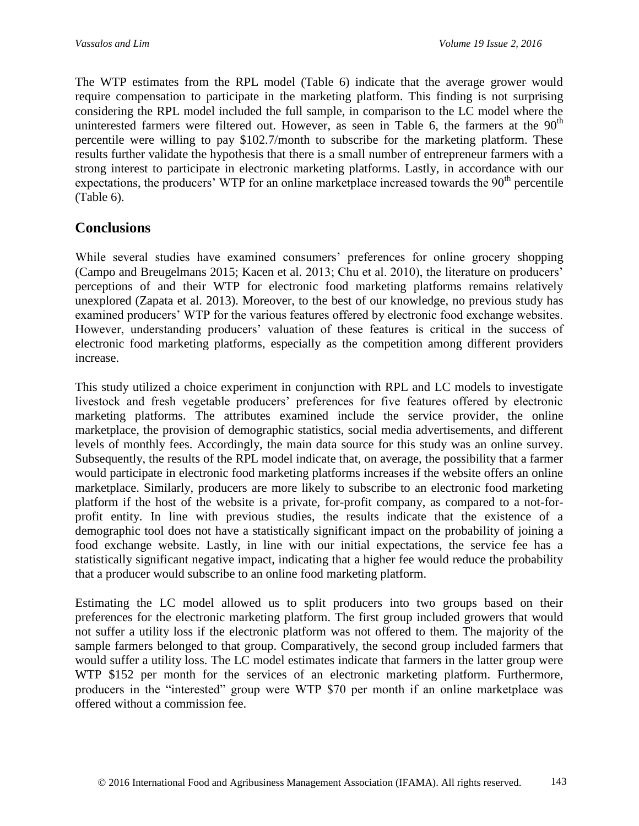The WTP estimates from the RPL model (Table 6) indicate that the average grower would require compensation to participate in the marketing platform. This finding is not surprising considering the RPL model included the full sample, in comparison to the LC model where the uninterested farmers were filtered out. However, as seen in Table 6, the farmers at the  $90<sup>th</sup>$ percentile were willing to pay \$102.7/month to subscribe for the marketing platform. These results further validate the hypothesis that there is a small number of entrepreneur farmers with a strong interest to participate in electronic marketing platforms. Lastly, in accordance with our expectations, the producers' WTP for an online marketplace increased towards the  $90<sup>th</sup>$  percentile (Table 6).

# **Conclusions**

While several studies have examined consumers' preferences for online grocery shopping (Campo and Breugelmans 2015; Kacen et al. 2013; Chu et al. 2010), the literature on producers' perceptions of and their WTP for electronic food marketing platforms remains relatively unexplored (Zapata et al. 2013). Moreover, to the best of our knowledge, no previous study has examined producers' WTP for the various features offered by electronic food exchange websites. However, understanding producers' valuation of these features is critical in the success of electronic food marketing platforms, especially as the competition among different providers increase.

This study utilized a choice experiment in conjunction with RPL and LC models to investigate livestock and fresh vegetable producers' preferences for five features offered by electronic marketing platforms. The attributes examined include the service provider, the online marketplace, the provision of demographic statistics, social media advertisements, and different levels of monthly fees. Accordingly, the main data source for this study was an online survey. Subsequently, the results of the RPL model indicate that, on average, the possibility that a farmer would participate in electronic food marketing platforms increases if the website offers an online marketplace. Similarly, producers are more likely to subscribe to an electronic food marketing platform if the host of the website is a private, for-profit company, as compared to a not-forprofit entity. In line with previous studies, the results indicate that the existence of a demographic tool does not have a statistically significant impact on the probability of joining a food exchange website. Lastly, in line with our initial expectations, the service fee has a statistically significant negative impact, indicating that a higher fee would reduce the probability that a producer would subscribe to an online food marketing platform.

Estimating the LC model allowed us to split producers into two groups based on their preferences for the electronic marketing platform. The first group included growers that would not suffer a utility loss if the electronic platform was not offered to them. The majority of the sample farmers belonged to that group. Comparatively, the second group included farmers that would suffer a utility loss. The LC model estimates indicate that farmers in the latter group were WTP \$152 per month for the services of an electronic marketing platform. Furthermore, producers in the "interested" group were WTP \$70 per month if an online marketplace was offered without a commission fee.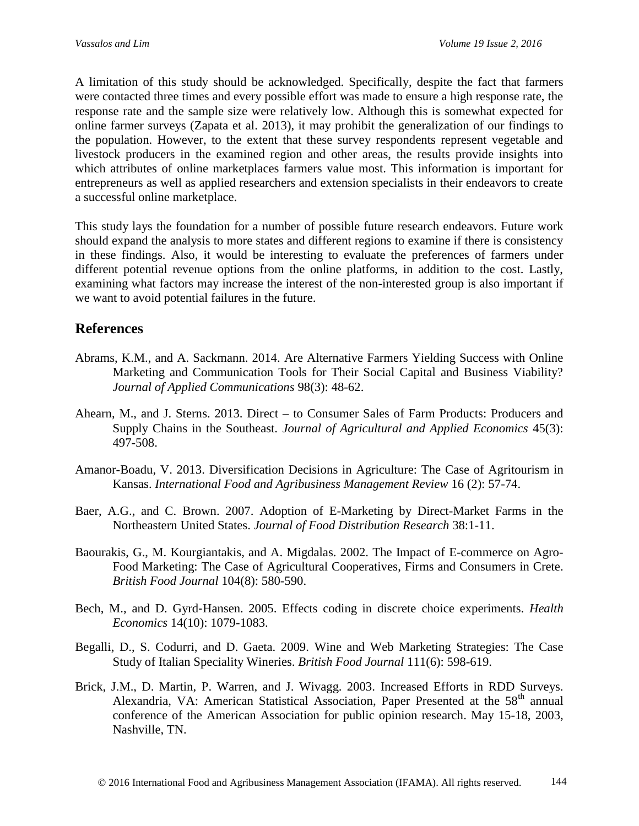A limitation of this study should be acknowledged. Specifically, despite the fact that farmers were contacted three times and every possible effort was made to ensure a high response rate, the response rate and the sample size were relatively low. Although this is somewhat expected for online farmer surveys (Zapata et al. 2013), it may prohibit the generalization of our findings to the population. However, to the extent that these survey respondents represent vegetable and livestock producers in the examined region and other areas, the results provide insights into which attributes of online marketplaces farmers value most. This information is important for entrepreneurs as well as applied researchers and extension specialists in their endeavors to create a successful online marketplace.

This study lays the foundation for a number of possible future research endeavors. Future work should expand the analysis to more states and different regions to examine if there is consistency in these findings. Also, it would be interesting to evaluate the preferences of farmers under different potential revenue options from the online platforms, in addition to the cost. Lastly, examining what factors may increase the interest of the non-interested group is also important if we want to avoid potential failures in the future.

# **References**

- Abrams, K.M., and A. Sackmann. 2014. Are Alternative Farmers Yielding Success with Online Marketing and Communication Tools for Their Social Capital and Business Viability? *Journal of Applied Communications* 98(3): 48-62.
- Ahearn, M., and J. Sterns. 2013. Direct to Consumer Sales of Farm Products: Producers and Supply Chains in the Southeast. *Journal of Agricultural and Applied Economics* 45(3): 497-508.
- Amanor-Boadu, V. 2013. Diversification Decisions in Agriculture: The Case of Agritourism in Kansas. *International Food and Agribusiness Management Review* 16 (2): 57-74.
- Baer, A.G., and C. Brown. 2007. Adoption of E-Marketing by Direct-Market Farms in the Northeastern United States. *Journal of Food Distribution Research* 38:1-11.
- Baourakis, G., M. Kourgiantakis, and A. Migdalas. 2002. The Impact of E-commerce on Agro-Food Marketing: The Case of Agricultural Cooperatives, Firms and Consumers in Crete. *British Food Journal* 104(8): 580-590.
- Bech, M., and D. Gyrd‐Hansen. 2005. Effects coding in discrete choice experiments. *Health Economics* 14(10): 1079-1083.
- Begalli, D., S. Codurri, and D. Gaeta. 2009. Wine and Web Marketing Strategies: The Case Study of Italian Speciality Wineries. *British Food Journal* 111(6): 598-619.
- Brick, J.M., D. Martin, P. Warren, and J. Wivagg. 2003. Increased Efforts in RDD Surveys. Alexandria, VA: American Statistical Association, Paper Presented at the  $58<sup>th</sup>$  annual conference of the American Association for public opinion research. May 15-18, 2003, Nashville, TN.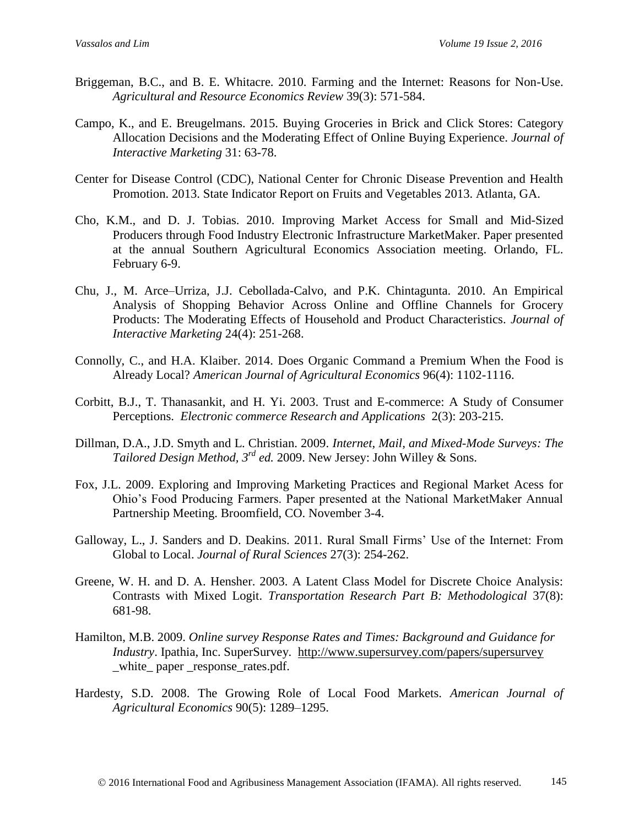- Briggeman, B.C., and B. E. Whitacre. 2010. Farming and the Internet: Reasons for Non-Use. *Agricultural and Resource Economics Review* 39(3): 571-584.
- Campo, K., and E. Breugelmans. 2015. Buying Groceries in Brick and Click Stores: Category Allocation Decisions and the Moderating Effect of Online Buying Experience. *Journal of Interactive Marketing* 31: 63-78.
- Center for Disease Control (CDC), National Center for Chronic Disease Prevention and Health Promotion. 2013. State Indicator Report on Fruits and Vegetables 2013. Atlanta, GA.
- Cho, K.M., and D. J. Tobias. 2010. Improving Market Access for Small and Mid-Sized Producers through Food Industry Electronic Infrastructure MarketMaker. Paper presented at the annual Southern Agricultural Economics Association meeting. Orlando, FL. February 6-9.
- Chu, J., M. Arce–Urriza, J.J. Cebollada-Calvo, and P.K. Chintagunta. 2010. An Empirical Analysis of Shopping Behavior Across Online and Offline Channels for Grocery Products: The Moderating Effects of Household and Product Characteristics. *Journal of Interactive Marketing* 24(4): 251-268.
- Connolly, C., and H.A. Klaiber. 2014. Does Organic Command a Premium When the Food is Already Local? *American Journal of Agricultural Economics* 96(4): 1102-1116.
- Corbitt, B.J., T. Thanasankit, and H. Yi. 2003. Trust and E-commerce: A Study of Consumer Perceptions. *Electronic commerce Research and Applications* 2(3): 203-215.
- Dillman, D.A., J.D. Smyth and L. Christian. 2009. *Internet, Mail, and Mixed-Mode Surveys: The Tailored Design Method, 3rd ed.* 2009. New Jersey: John Willey & Sons.
- Fox, J.L. 2009. Exploring and Improving Marketing Practices and Regional Market Acess for Ohio's Food Producing Farmers. Paper presented at the National MarketMaker Annual Partnership Meeting. Broomfield, CO. November 3-4.
- Galloway, L., J. Sanders and D. Deakins. 2011. Rural Small Firms' Use of the Internet: From Global to Local. *Journal of Rural Sciences* 27(3): 254-262.
- Greene, W. H. and D. A. Hensher. 2003. A Latent Class Model for Discrete Choice Analysis: Contrasts with Mixed Logit. *Transportation Research Part B: Methodological* 37(8): 681-98.
- Hamilton, M.B. 2009. *Online survey Response Rates and Times: Background and Guidance for Industry*. Ipathia, Inc. SuperSurvey. <http://www.supersurvey.com/papers/supersurvey> white paper response rates.pdf.
- Hardesty, S.D. 2008. The Growing Role of Local Food Markets. *American Journal of Agricultural Economics* 90(5): 1289–1295.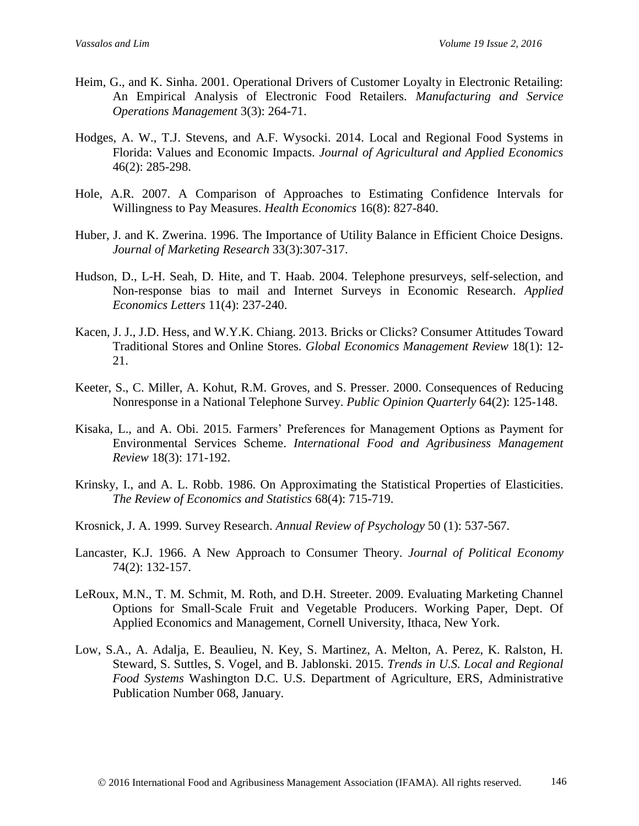- Heim, G., and K. Sinha. 2001. Operational Drivers of Customer Loyalty in Electronic Retailing: An Empirical Analysis of Electronic Food Retailers. *Manufacturing and Service Operations Management* 3(3): 264-71.
- Hodges, A. W., T.J. Stevens, and A.F. Wysocki. 2014. Local and Regional Food Systems in Florida: Values and Economic Impacts. *Journal of Agricultural and Applied Economics* 46(2): 285-298.
- Hole, A.R. 2007. A Comparison of Approaches to Estimating Confidence Intervals for Willingness to Pay Measures. *Health Economics* 16(8): 827-840.
- Huber, J. and K. Zwerina. 1996. The Importance of Utility Balance in Efficient Choice Designs. *Journal of Marketing Research* 33(3):307-317.
- Hudson, D., L-H. Seah, D. Hite, and T. Haab. 2004. Telephone presurveys, self-selection, and Non-response bias to mail and Internet Surveys in Economic Research. *Applied Economics Letters* 11(4): 237-240.
- Kacen, J. J., J.D. Hess, and W.Y.K. Chiang. 2013. Bricks or Clicks? Consumer Attitudes Toward Traditional Stores and Online Stores. *Global Economics Management Review* 18(1): 12- 21.
- Keeter, S., C. Miller, A. Kohut, R.M. Groves, and S. Presser. 2000. Consequences of Reducing Nonresponse in a National Telephone Survey. *Public Opinion Quarterly* 64(2): 125-148.
- Kisaka, L., and A. Obi. 2015. Farmers' Preferences for Management Options as Payment for Environmental Services Scheme. *International Food and Agribusiness Management Review* 18(3): 171-192.
- Krinsky, I., and A. L. Robb. 1986. On Approximating the Statistical Properties of Elasticities. *The Review of Economics and Statistics* 68(4): 715-719.
- Krosnick, J. A. 1999. Survey Research. *Annual Review of Psychology* 50 (1): 537-567.
- Lancaster, K.J. 1966. A New Approach to Consumer Theory. *Journal of Political Economy*  74(2): 132-157.
- LeRoux, M.N., T. M. Schmit, M. Roth, and D.H. Streeter. 2009. Evaluating Marketing Channel Options for Small-Scale Fruit and Vegetable Producers. Working Paper, Dept. Of Applied Economics and Management, Cornell University, Ithaca, New York.
- Low, S.A., A. Adalja, E. Beaulieu, N. Key, S. Martinez, A. Melton, A. Perez, K. Ralston, H. Steward, S. Suttles, S. Vogel, and B. Jablonski. 2015. *Trends in U.S. Local and Regional Food Systems* Washington D.C. U.S. Department of Agriculture, ERS, Administrative Publication Number 068, January.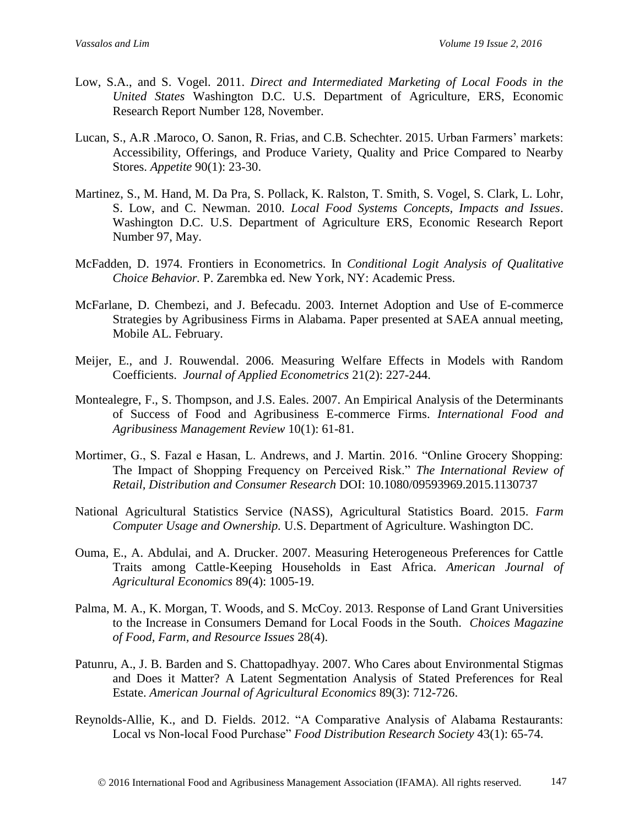- Low, S.A., and S. Vogel. 2011. *Direct and Intermediated Marketing of Local Foods in the United States* Washington D.C. U.S. Department of Agriculture, ERS, Economic Research Report Number 128, November.
- Lucan, S., A.R .Maroco, O. Sanon, R. Frias, and C.B. Schechter. 2015. Urban Farmers' markets: Accessibility, Offerings, and Produce Variety, Quality and Price Compared to Nearby Stores. *Appetite* 90(1): 23-30.
- Martinez, S., M. Hand, M. Da Pra, S. Pollack, K. Ralston, T. Smith, S. Vogel, S. Clark, L. Lohr, S. Low, and C. Newman. 2010. *Local Food Systems Concepts, Impacts and Issues*. Washington D.C. U.S. Department of Agriculture ERS, Economic Research Report Number 97, May.
- McFadden, D. 1974. Frontiers in Econometrics. In *Conditional Logit Analysis of Qualitative Choice Behavior.* P. Zarembka ed. New York, NY: Academic Press.
- McFarlane, D. Chembezi, and J. Befecadu. 2003. Internet Adoption and Use of E-commerce Strategies by Agribusiness Firms in Alabama. Paper presented at SAEA annual meeting, Mobile AL. February.
- Meijer, E., and J. Rouwendal. 2006. Measuring Welfare Effects in Models with Random Coefficients. *Journal of Applied Econometrics* 21(2): 227-244.
- Montealegre, F., S. Thompson, and J.S. Eales. 2007. An Empirical Analysis of the Determinants of Success of Food and Agribusiness E-commerce Firms. *International Food and Agribusiness Management Review* 10(1): 61-81.
- Mortimer, G., S. Fazal e Hasan, L. Andrews, and J. Martin. 2016. "Online Grocery Shopping: The Impact of Shopping Frequency on Perceived Risk." *The International Review of Retail, Distribution and Consumer Research* DOI: 10.1080/09593969.2015.1130737
- National Agricultural Statistics Service (NASS), Agricultural Statistics Board. 2015. *Farm Computer Usage and Ownership.* U.S. Department of Agriculture. Washington DC.
- Ouma, E., A. Abdulai, and A. Drucker. 2007. Measuring Heterogeneous Preferences for Cattle Traits among Cattle-Keeping Households in East Africa. *American Journal of Agricultural Economics* 89(4): 1005-19.
- Palma, M. A., K. Morgan, T. Woods, and S. McCoy. 2013. Response of Land Grant Universities to the Increase in Consumers Demand for Local Foods in the South. *Choices Magazine of Food, Farm, and Resource Issues* 28(4).
- Patunru, A., J. B. Barden and S. Chattopadhyay. 2007. Who Cares about Environmental Stigmas and Does it Matter? A Latent Segmentation Analysis of Stated Preferences for Real Estate. *American Journal of Agricultural Economics* 89(3): 712-726.
- Reynolds-Allie, K., and D. Fields. 2012. "A Comparative Analysis of Alabama Restaurants: Local vs Non-local Food Purchase" *Food Distribution Research Society* 43(1): 65-74.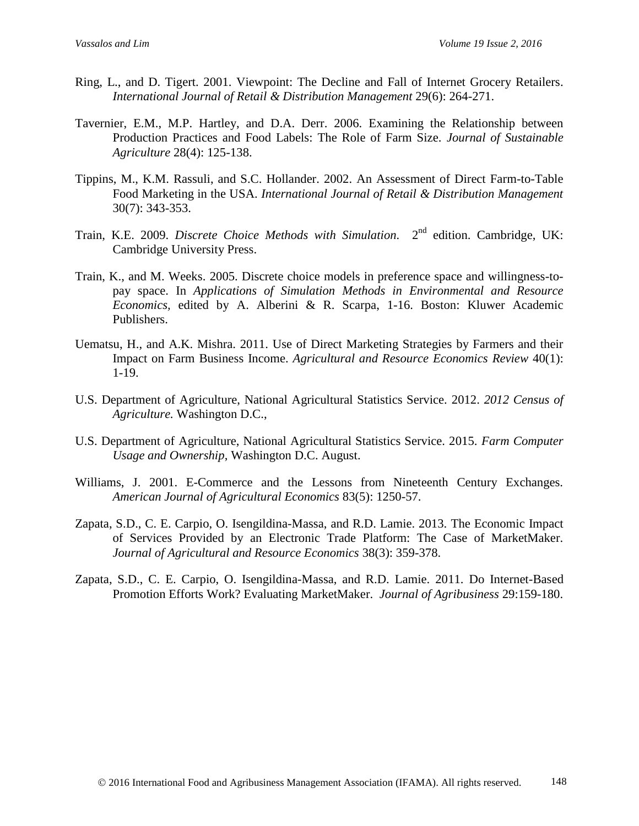- Ring, L., and D. Tigert. 2001. Viewpoint: The Decline and Fall of Internet Grocery Retailers. *International Journal of Retail & Distribution Management* 29(6): 264-271.
- Tavernier, E.M., M.P. Hartley, and D.A. Derr. 2006. Examining the Relationship between Production Practices and Food Labels: The Role of Farm Size. *Journal of Sustainable Agriculture* 28(4): 125-138.
- Tippins, M., K.M. Rassuli, and S.C. Hollander. 2002. An Assessment of Direct Farm-to-Table Food Marketing in the USA. *International Journal of Retail & Distribution Management*  30(7): 343-353.
- Train, K.E. 2009. *Discrete Choice Methods with Simulation*. 2<sup>nd</sup> edition. Cambridge, UK: Cambridge University Press.
- Train, K., and M. Weeks. 2005. Discrete choice models in preference space and willingness-topay space. In *Applications of Simulation Methods in Environmental and Resource Economics,* edited by A. Alberini & R. Scarpa, 1-16. Boston: Kluwer Academic Publishers.
- Uematsu, H., and A.K. Mishra. 2011. Use of Direct Marketing Strategies by Farmers and their Impact on Farm Business Income. *Agricultural and Resource Economics Review* 40(1): 1-19.
- U.S. Department of Agriculture, National Agricultural Statistics Service. 2012. *2012 Census of Agriculture.* Washington D.C.,
- U.S. Department of Agriculture, National Agricultural Statistics Service. 2015. *Farm Computer Usage and Ownership*, Washington D.C. August.
- Williams, J. 2001. E-Commerce and the Lessons from Nineteenth Century Exchanges. *American Journal of Agricultural Economics* 83(5): 1250-57.
- Zapata, S.D., C. E. Carpio, O. Isengildina-Massa, and R.D. Lamie. 2013. The Economic Impact of Services Provided by an Electronic Trade Platform: The Case of MarketMaker. *Journal of Agricultural and Resource Economics* 38(3): 359-378.
- Zapata, S.D., C. E. Carpio, O. Isengildina-Massa, and R.D. Lamie. 2011. Do Internet-Based Promotion Efforts Work? Evaluating MarketMaker. *Journal of Agribusiness* 29:159-180.